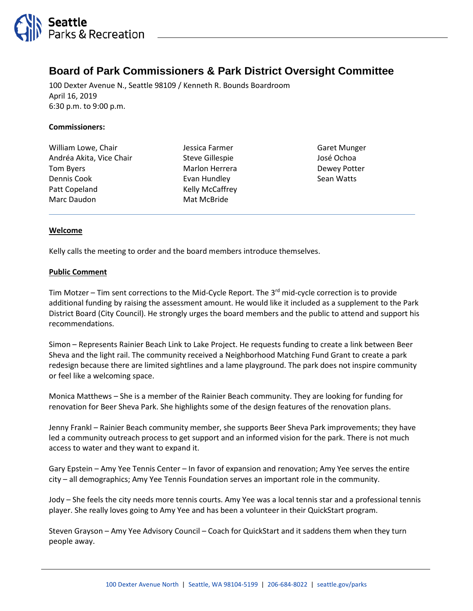

# **Board of Park Commissioners & Park District Oversight Committee**

100 Dexter Avenue N., Seattle 98109 / Kenneth R. Bounds Boardroom April 16, 2019 6:30 p.m. to 9:00 p.m.

#### **Commissioners:**

| William Lowe, Chair      |
|--------------------------|
| Andréa Akita, Vice Chair |
| <b>Tom Byers</b>         |
| Dennis Cook              |
| Patt Copeland            |
| Marc Daudon              |

Jessica Farmer Steve Gillespie Marlon Herrera Evan Hundley Kelly McCaffrey Mat McBride

Garet Munger José Ochoa Dewey Potter Sean Watts

#### **Welcome**

Kelly calls the meeting to order and the board members introduce themselves.

#### **Public Comment**

Tim Motzer – Tim sent corrections to the Mid-Cycle Report. The  $3^{rd}$  mid-cycle correction is to provide additional funding by raising the assessment amount. He would like it included as a supplement to the Park District Board (City Council). He strongly urges the board members and the public to attend and support his recommendations.

Simon – Represents Rainier Beach Link to Lake Project. He requests funding to create a link between Beer Sheva and the light rail. The community received a Neighborhood Matching Fund Grant to create a park redesign because there are limited sightlines and a lame playground. The park does not inspire community or feel like a welcoming space.

Monica Matthews – She is a member of the Rainier Beach community. They are looking for funding for renovation for Beer Sheva Park. She highlights some of the design features of the renovation plans.

Jenny Frankl – Rainier Beach community member, she supports Beer Sheva Park improvements; they have led a community outreach process to get support and an informed vision for the park. There is not much access to water and they want to expand it.

Gary Epstein – Amy Yee Tennis Center – In favor of expansion and renovation; Amy Yee serves the entire city – all demographics; Amy Yee Tennis Foundation serves an important role in the community.

Jody – She feels the city needs more tennis courts. Amy Yee was a local tennis star and a professional tennis player. She really loves going to Amy Yee and has been a volunteer in their QuickStart program.

Steven Grayson – Amy Yee Advisory Council – Coach for QuickStart and it saddens them when they turn people away.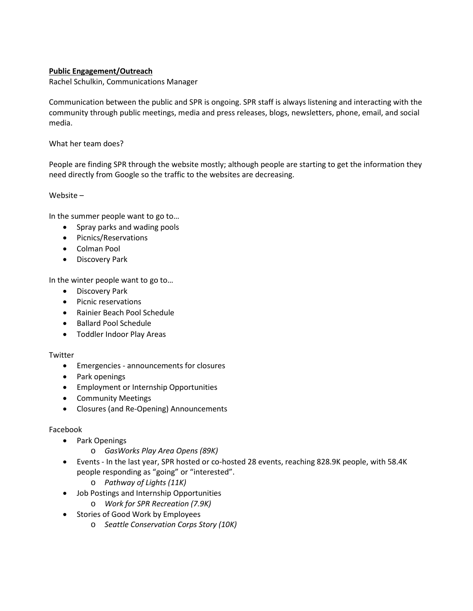## **Public Engagement/Outreach**

Rachel Schulkin, Communications Manager

Communication between the public and SPR is ongoing. SPR staff is always listening and interacting with the community through public meetings, media and press releases, blogs, newsletters, phone, email, and social media.

What her team does?

People are finding SPR through the website mostly; although people are starting to get the information they need directly from Google so the traffic to the websites are decreasing.

Website –

In the summer people want to go to…

- Spray parks and wading pools
- Picnics/Reservations
- Colman Pool
- Discovery Park

In the winter people want to go to…

- Discovery Park
- Picnic reservations
- Rainier Beach Pool Schedule
- Ballard Pool Schedule
- Toddler Indoor Play Areas

## Twitter

- Emergencies announcements for closures
- Park openings
- Employment or Internship Opportunities
- Community Meetings
- Closures (and Re-Opening) Announcements

## Facebook

- Park Openings
	- o *GasWorks Play Area Opens (89K)*
- Events In the last year, SPR hosted or co-hosted 28 events, reaching 828.9K people, with 58.4K people responding as "going" or "interested".
	- o *Pathway of Lights (11K)*
- Job Postings and Internship Opportunities
	- o *Work for SPR Recreation (7.9K)*
- Stories of Good Work by Employees
	- o *Seattle Conservation Corps Story (10K)*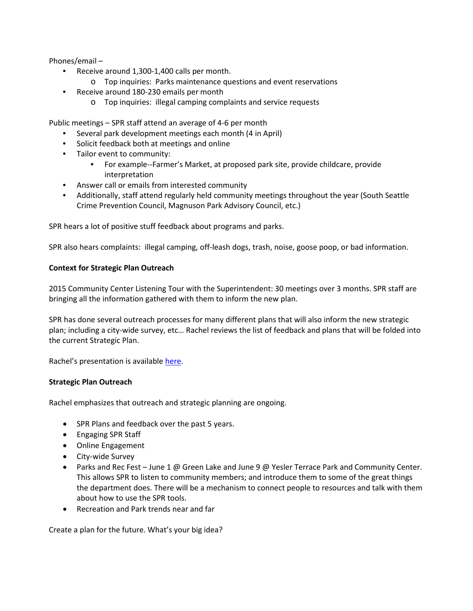Phones/email –

- Receive around 1,300-1,400 calls per month.
	- o Top inquiries: Parks maintenance questions and event reservations
- Receive around 180-230 emails per month
	- o Top inquiries: illegal camping complaints and service requests

Public meetings – SPR staff attend an average of 4-6 per month

- Several park development meetings each month (4 in April)
- Solicit feedback both at meetings and online
- Tailor event to community:
	- For example--Farmer's Market, at proposed park site, provide childcare, provide interpretation
- Answer call or emails from interested community
- Additionally, staff attend regularly held community meetings throughout the year (South Seattle Crime Prevention Council, Magnuson Park Advisory Council, etc.)

SPR hears a lot of positive stuff feedback about programs and parks.

SPR also hears complaints: illegal camping, off-leash dogs, trash, noise, goose poop, or bad information.

## **Context for Strategic Plan Outreach**

2015 Community Center Listening Tour with the Superintendent: 30 meetings over 3 months. SPR staff are bringing all the information gathered with them to inform the new plan.

SPR has done several outreach processes for many different plans that will also inform the new strategic plan; including a city-wide survey, etc… Rachel reviews the list of feedback and plans that will be folded into the current Strategic Plan.

Rachel's presentation is available [here.](http://www.seattle.gov/board-of-park-commissioners/meeting-materials)

## **Strategic Plan Outreach**

Rachel emphasizes that outreach and strategic planning are ongoing.

- SPR Plans and feedback over the past 5 years.
- Engaging SPR Staff
- Online Engagement
- City-wide Survey
- Parks and Rec Fest June 1 @ Green Lake and June 9 @ Yesler Terrace Park and Community Center. This allows SPR to listen to community members; and introduce them to some of the great things the department does. There will be a mechanism to connect people to resources and talk with them about how to use the SPR tools.
- Recreation and Park trends near and far

Create a plan for the future. What's your big idea?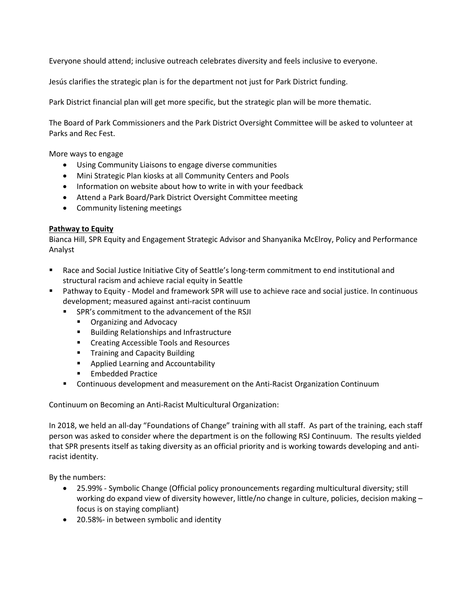Everyone should attend; inclusive outreach celebrates diversity and feels inclusive to everyone.

Jesús clarifies the strategic plan is for the department not just for Park District funding.

Park District financial plan will get more specific, but the strategic plan will be more thematic.

The Board of Park Commissioners and the Park District Oversight Committee will be asked to volunteer at Parks and Rec Fest.

More ways to engage

- Using Community Liaisons to engage diverse communities
- Mini Strategic Plan kiosks at all Community Centers and Pools
- Information on website about how to write in with your feedback
- Attend a Park Board/Park District Oversight Committee meeting
- Community listening meetings

## **Pathway to Equity**

Bianca Hill, SPR Equity and Engagement Strategic Advisor and Shanyanika McElroy, Policy and Performance Analyst

- Race and Social Justice Initiative City of Seattle's long-term commitment to end institutional and structural racism and achieve racial equity in Seattle
- Pathway to Equity Model and framework SPR will use to achieve race and social justice. In continuous development; measured against anti-racist continuum
	- **SPR's commitment to the advancement of the RSJI** 
		- **Organizing and Advocacy**
		- **Building Relationships and Infrastructure**
		- **EXECTE Accessible Tools and Resources**
		- **Training and Capacity Building**
		- **Applied Learning and Accountability**
		- **Embedded Practice**
	- Continuous development and measurement on the Anti-Racist Organization Continuum

Continuum on Becoming an Anti-Racist Multicultural Organization:

In 2018, we held an all-day "Foundations of Change" training with all staff. As part of the training, each staff person was asked to consider where the department is on the following RSJ Continuum. The results yielded that SPR presents itself as taking diversity as an official priority and is working towards developing and antiracist identity.

By the numbers:

- 25.99% Symbolic Change (Official policy pronouncements regarding multicultural diversity; still working do expand view of diversity however, little/no change in culture, policies, decision making focus is on staying compliant)
- 20.58%- in between symbolic and identity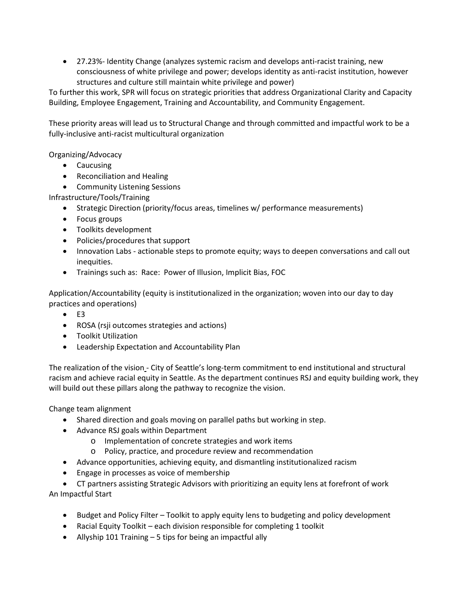• 27.23%- Identity Change (analyzes systemic racism and develops anti-racist training, new consciousness of white privilege and power; develops identity as anti-racist institution, however structures and culture still maintain white privilege and power)

To further this work, SPR will focus on strategic priorities that address Organizational Clarity and Capacity Building, Employee Engagement, Training and Accountability, and Community Engagement.

These priority areas will lead us to Structural Change and through committed and impactful work to be a fully-inclusive anti-racist multicultural organization

Organizing/Advocacy

- Caucusing
- Reconciliation and Healing
- Community Listening Sessions

Infrastructure/Tools/Training

- Strategic Direction (priority/focus areas, timelines w/ performance measurements)
- Focus groups
- Toolkits development
- Policies/procedures that support
- Innovation Labs actionable steps to promote equity; ways to deepen conversations and call out inequities.
- Trainings such as: Race: Power of Illusion, Implicit Bias, FOC

Application/Accountability (equity is institutionalized in the organization; woven into our day to day practices and operations)

- $\bullet$  E3
- ROSA (rsji outcomes strategies and actions)
- Toolkit Utilization
- Leadership Expectation and Accountability Plan

The realization of the vision - City of Seattle's long-term commitment to end institutional and structural racism and achieve racial equity in Seattle. As the department continues RSJ and equity building work, they will build out these pillars along the pathway to recognize the vision.

Change team alignment

- Shared direction and goals moving on parallel paths but working in step.
- Advance RSJ goals within Department
	- o Implementation of concrete strategies and work items
	- o Policy, practice, and procedure review and recommendation
- Advance opportunities, achieving equity, and dismantling institutionalized racism
- Engage in processes as voice of membership
- CT partners assisting Strategic Advisors with prioritizing an equity lens at forefront of work

An Impactful Start

- Budget and Policy Filter Toolkit to apply equity lens to budgeting and policy development
- Racial Equity Toolkit each division responsible for completing 1 toolkit
- Allyship 101 Training 5 tips for being an impactful ally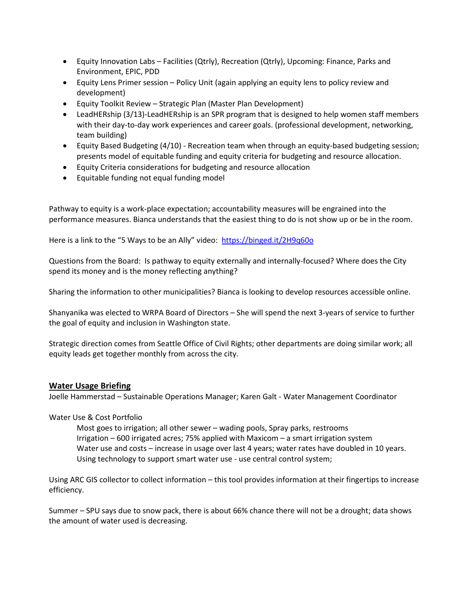- Equity Innovation Labs Facilities (Qtrly), Recreation (Qtrly), Upcoming: Finance, Parks and Environment, EPIC, PDD
- Equity Lens Primer session Policy Unit (again applying an equity lens to policy review and development)
- Equity Toolkit Review Strategic Plan (Master Plan Development)
- LeadHERship (3/13)-LeadHERship is an SPR program that is designed to help women staff members with their day-to-day work experiences and career goals. (professional development, networking, team building)
- Equity Based Budgeting (4/10) Recreation team when through an equity-based budgeting session; presents model of equitable funding and equity criteria for budgeting and resource allocation.
- Equity Criteria considerations for budgeting and resource allocation
- Equitable funding not equal funding model

Pathway to equity is a work-place expectation; accountability measures will be engrained into the performance measures. Bianca understands that the easiest thing to do is not show up or be in the room.

Here is a link to the "5 Ways to be an Ally" video: <https://binged.it/2H9q60o>

Questions from the Board: Is pathway to equity externally and internally-focused? Where does the City spend its money and is the money reflecting anything?

Sharing the information to other municipalities? Bianca is looking to develop resources accessible online.

Shanyanika was elected to WRPA Board of Directors – She will spend the next 3-years of service to further the goal of equity and inclusion in Washington state.

Strategic direction comes from Seattle Office of Civil Rights; other departments are doing similar work; all equity leads get together monthly from across the city.

## **Water Usage Briefing**

Joelle Hammerstad – Sustainable Operations Manager; Karen Galt - Water Management Coordinator

#### Water Use & Cost Portfolio

Most goes to irrigation; all other sewer – wading pools, Spray parks, restrooms Irrigation – 600 irrigated acres; 75% applied with Maxicom – a smart irrigation system Water use and costs – increase in usage over last 4 years; water rates have doubled in 10 years. Using technology to support smart water use - use central control system;

Using ARC GIS collector to collect information – this tool provides information at their fingertips to increase efficiency.

Summer – SPU says due to snow pack, there is about 66% chance there will not be a drought; data shows the amount of water used is decreasing.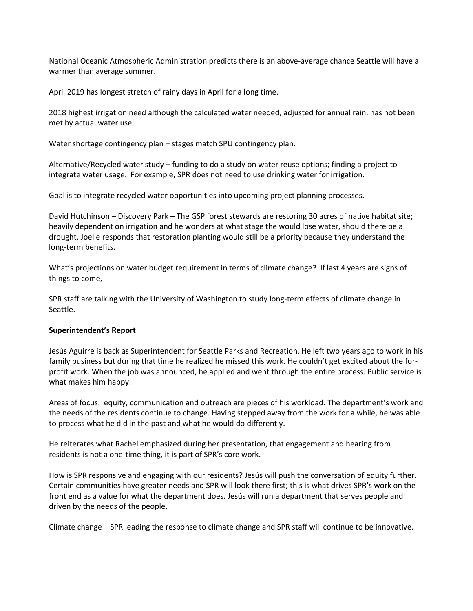National Oceanic Atmospheric Administration predicts there is an above-average chance Seattle will have a warmer than average summer.

April 2019 has longest stretch of rainy days in April for a long time.

2018 highest irrigation need although the calculated water needed, adjusted for annual rain, has not been met by actual water use.

Water shortage contingency plan – stages match SPU contingency plan.

Alternative/Recycled water study – funding to do a study on water reuse options; finding a project to integrate water usage. For example, SPR does not need to use drinking water for irrigation.

Goal is to integrate recycled water opportunities into upcoming project planning processes.

David Hutchinson – Discovery Park – The GSP forest stewards are restoring 30 acres of native habitat site; heavily dependent on irrigation and he wonders at what stage the would lose water, should there be a drought. Joelle responds that restoration planting would still be a priority because they understand the long-term benefits.

What's projections on water budget requirement in terms of climate change? If last 4 years are signs of things to come,

SPR staff are talking with the University of Washington to study long-term effects of climate change in Seattle.

#### **Superintendent's Report**

Jesús Aguirre is back as Superintendent for Seattle Parks and Recreation. He left two years ago to work in his family business but during that time he realized he missed this work. He couldn't get excited about the forprofit work. When the job was announced, he applied and went through the entire process. Public service is what makes him happy.

Areas of focus: equity, communication and outreach are pieces of his workload. The department's work and the needs of the residents continue to change. Having stepped away from the work for a while, he was able to process what he did in the past and what he would do differently.

He reiterates what Rachel emphasized during her presentation, that engagement and hearing from residents is not a one-time thing, it is part of SPR's core work.

How is SPR responsive and engaging with our residents? Jesús will push the conversation of equity further. Certain communities have greater needs and SPR will look there first; this is what drives SPR's work on the front end as a value for what the department does. Jesús will run a department that serves people and driven by the needs of the people.

Climate change – SPR leading the response to climate change and SPR staff will continue to be innovative.